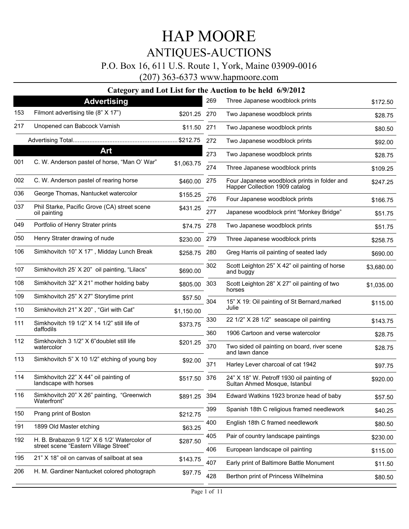### P.O. Box 16, 611 U.S. Route 1, York, Maine 03909-0016

(207) 363-6373 www.hapmoore.com

|     | $\alpha$ angory                                                |              |      | and Lot List for the Augustion to be nergy                                     |            |
|-----|----------------------------------------------------------------|--------------|------|--------------------------------------------------------------------------------|------------|
|     | <b>Advertising</b>                                             |              | 269  | Three Japanese woodblock prints                                                | \$172.50   |
| 153 | Filmont advertising tile (8" X 17")                            | \$201.25     | 270  | Two Japanese woodblock prints                                                  | \$28.75    |
| 217 | Unopened can Babcock Varnish                                   | \$11.50 271  |      | Two Japanese woodblock prints                                                  | \$80.50    |
|     |                                                                |              | 272  | Two Japanese woodblock prints                                                  | \$92.00    |
|     | Art                                                            |              | 273  | Two Japanese woodblock prints                                                  | \$28.75    |
| 001 | C. W. Anderson pastel of horse, "Man O' War"                   | \$1,063.75   | 274  | Three Japanese woodblock prints                                                | \$109.25   |
| 002 | C. W. Anderson pastel of rearing horse                         | \$460.00     | -275 | Four Japanese woodblock prints in folder and<br>Happer Collection 1909 catalog | \$247.25   |
| 036 | George Thomas, Nantucket watercolor                            | \$155.25     | 276  | Four Japanese woodblock prints                                                 | \$166.75   |
| 037 | Phil Starke, Pacific Grove (CA) street scene<br>oil painting   | \$431.25     | 277  | Japanese woodblock print "Monkey Bridge"                                       | \$51.75    |
| 049 | Portfolio of Henry Strater prints                              | \$74.75 278  |      | Two Japanese woodblock prints                                                  | \$51.75    |
| 050 | Henry Strater drawing of nude                                  | \$230.00 279 |      | Three Japanese woodblock prints                                                | \$258.75   |
| 106 | Simkhovitch 10" X 17", Midday Lunch Break                      | \$258.75     | 280  | Greg Harris oil painting of seated lady                                        | \$690.00   |
| 107 | Simkhovitch 25' X 20" oil painting, "Lilacs"                   | \$690.00     | 302  | Scott Leighton 25" X 42" oil painting of horse<br>and buggy                    | \$3,680.00 |
| 108 | Simkhovitch 32" X 21" mother holding baby                      | \$805.00     | 303  | Scott Leighton 28" X 27" oil painting of two<br>horses                         | \$1,035.00 |
| 109 | Simkhovitch 25" X 27" Storytime print                          | \$57.50      | 304  | 15" X 19: Oil painting of St Bernard, marked                                   | \$115.00   |
| 110 | Simkhovitch 21" X 20", "Girl with Cat"                         | \$1,150.00   |      | Julie                                                                          |            |
| 111 | Simkhovitch 19 1/2" X 14 1/2" still life of<br>daffodils       | \$373.75     | 330  | 22 1/2" X 28 1/2" seascape oil painting                                        | \$143.75   |
|     |                                                                |              | 360  | 1906 Cartoon and verse watercolor                                              | \$28.75    |
| 112 | Simkhovitch 3 1/2" X 6"doublet still life<br>watercolor        | \$201.25     | 370  | Two sided oil painting on board, river scene<br>and lawn dance                 | \$28.75    |
| 113 | Simkhovitch 5" X 10 1/2" etching of young boy                  | \$92.00      | 371  | Harley Lever charcoal of cat 1942                                              | \$97.75    |
| 114 | Simkhovitch 22" X 44" oil painting of<br>landscape with horses | \$517.50     | 376  | 24" X 18" W. Petroff 1930 oil painting of<br>Sultan Ahmed Mosque, Istanbul     | \$920.00   |
| 116 | Simkhovitch 20" X 26" painting, "Greenwich<br>Waterfront"      | \$891.25 394 |      | Edward Watkins 1923 bronze head of baby                                        | \$57.50    |
| 150 | Prang print of Boston                                          | \$212.75     | 399  | Spanish 18th C religious framed needlework                                     | \$40.25    |
| 191 | 1899 Old Master etching                                        | \$63.25      | 400  | English 18th C framed needlework                                               | \$80.50    |
| 192 | H. B. Brabazon 9 1/2" X 6 1/2' Watercolor of                   | \$287.50     | 405  | Pair of country landscape paintings                                            | \$230.00   |
|     | street scene "Eastern Village Street"                          |              | 406  | European landscape oil painting                                                | \$115.00   |
| 195 | 21" X 18" oil on canvas of sailboat at sea                     | \$143.75     | 407  | Early print of Baltimore Battle Monument                                       | \$11.50    |
| 206 | H. M. Gardiner Nantucket colored photograph                    | \$97.75      | 428  | Berthon print of Princess Wilhelmina                                           | \$80.50    |
|     |                                                                |              |      |                                                                                |            |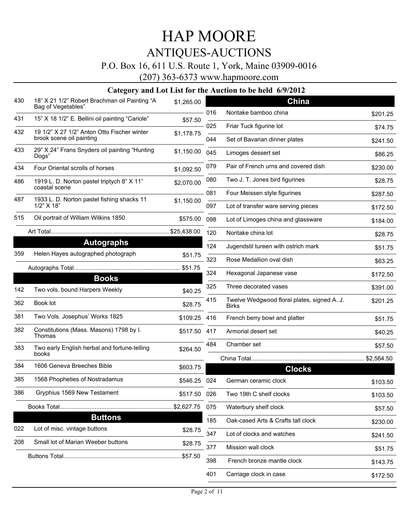### P.O. Box 16, 611 U.S. Route 1, York, Maine 03909-0016

(207) 363-6373 www.hapmoore.com

| 430 | 18" X 21 1/2" Robert Brachman oil Painting "A<br>Bag of Vegetables" | \$1,265.00   |     | <b>China</b>                                |          |
|-----|---------------------------------------------------------------------|--------------|-----|---------------------------------------------|----------|
| 431 | 15" X 18 1/2" E. Bellini oil painting "Cariole"                     | \$57.50      | 016 | Noritake bamboo china                       | \$201.25 |
| 432 | 19 1/2" X 27 1/2" Anton Otto Fischer winter                         | \$1,178.75   | 025 | Friar Tuck figurine lot                     | \$74.75  |
|     | brook scene oil painting                                            |              | 044 | Set of Bavarian dinner plates               | \$241.50 |
| 433 | 29" X 24" Frans Snyders oil painting "Hunting<br>Dogs"              | \$1,150.00   | 045 | Limoges dessert set                         | \$86.25  |
| 434 | Four Oriental scrolls of horses                                     | \$1,092.50   | 079 | Pair of French urns and covered dish        | \$230.00 |
| 486 | 1919 L. D. Norton pastel triptych 8" X 11"<br>coastal scene         | \$2,070.00   | 080 | Two J. T. Jones bird figurines              | \$28.75  |
| 487 | 1933 L. D. Norton pastel fishing shacks 11                          | \$1,150.00   | 081 | Four Meissen style figurines                | \$287.50 |
|     | $1/2$ " $\times$ 18"                                                |              | 097 | Lot of transfer ware serving pieces         | \$172.50 |
| 515 | Oil portrait of William Wilkins 1850                                | \$575.00     | 098 | Lot of Limoges china and glassware          | \$184.00 |
|     |                                                                     |              | 120 | Noritake china lot                          | \$28.75  |
|     | <b>Autographs</b>                                                   |              | 124 | Jugendstil tureen with ostrich mark         | \$51.75  |
| 359 | Helen Hayes autographed photograph                                  | \$51.75      | 323 | Rose Medallion oval dish                    | \$63.25  |
|     |                                                                     |              | 324 | Hexagonal Japanese vase                     | \$172.50 |
| 142 | <b>Books</b><br>Two vols. bound Harpers Weekly                      |              | 325 | Three decorated vases                       | \$391.00 |
| 362 | Book lot                                                            | \$40.25      | 415 | Twelve Wedgwood floral plates, signed A. J. | \$201.25 |
|     |                                                                     | \$28.75      |     | <b>Birks</b>                                |          |
| 381 | Two Vols. Josephus' Works 1825                                      | \$109.25     | 416 | French berry bowl and platter               | \$51.75  |
| 382 | Constitutions (Mass. Masons) 1798 by I.<br>Thomas                   | \$517.50     | 417 | Armorial desert set                         | \$40.25  |
| 383 | Two early English herbal and fortune-telling                        | \$264.50     | 484 | Chamber set                                 | \$57.50  |
| 384 | books<br>1606 Geneva Breeches Bible                                 |              |     |                                             |          |
|     |                                                                     | \$603.75     |     | <b>Clocks</b>                               |          |
| 385 | 1568 Phopheties of Nostradamus                                      | \$546.25 024 |     | German ceramic clock                        | \$103.50 |
| 386 | Gryphius 1569 New Testament                                         | \$517.50 026 |     | Two 19th C shelf clocks                     | \$103.50 |
|     |                                                                     |              | 075 | Waterbury shelf clock                       | \$57.50  |
|     | <b>Buttons</b>                                                      |              | 185 | Oak-cased Arts & Crafts tall clock          | \$230.00 |
| 022 | Lot of misc. vintage buttons                                        | \$28.75      | 347 | Lot of clocks and watches                   | \$241.50 |
| 208 | Small lot of Marian Weeber buttons                                  | \$28.75      | 377 | Mission wall clock                          | \$51.75  |
|     |                                                                     | \$57.50      | 398 | French bronze mantle clock                  | \$143.75 |
|     |                                                                     |              | 401 | Carriage clock in case                      | \$172.50 |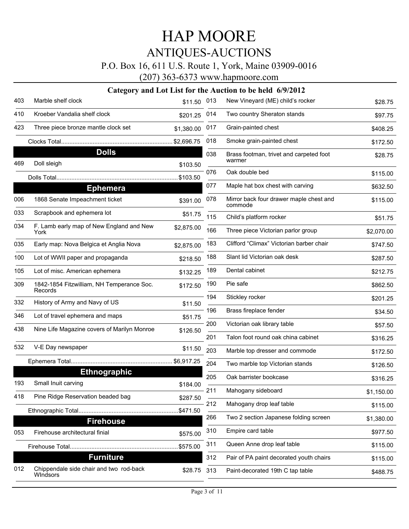### P.O. Box 16, 611 U.S. Route 1, York, Maine 03909-0016

(207) 363-6373 www.hapmoore.com

| 403 | Marble shelf clock                                   | \$11.50              | 013 | New Vineyard (ME) child's rocker                   | \$28.75    |
|-----|------------------------------------------------------|----------------------|-----|----------------------------------------------------|------------|
| 410 | Kroeber Vandalia shelf clock                         | \$201.25             | 014 | Two country Sheraton stands                        | \$97.75    |
| 423 | Three piece bronze mantle clock set                  | \$1,380.00           | 017 | Grain-painted chest                                | \$408.25   |
|     |                                                      |                      | 018 | Smoke grain-painted chest                          | \$172.50   |
| 469 | <b>Dolls</b><br>Doll sleigh                          |                      | 038 | Brass footman, trivet and carpeted foot<br>warmer  | \$28.75    |
|     |                                                      | \$103.50<br>\$103.50 | 076 | Oak double bed                                     | \$115.00   |
|     | <b>Ephemera</b>                                      |                      | 077 | Maple hat box chest with carving                   | \$632.50   |
| 006 | 1868 Senate Impeachment ticket                       | \$391.00             | 078 | Mirror back four drawer maple chest and<br>commode | \$115.00   |
| 033 | Scrapbook and ephemera lot                           | \$51.75              | 115 | Child's platform rocker                            | \$51.75    |
| 034 | F. Lamb early map of New England and New<br>York     | \$2,875.00           | 166 | Three piece Victorian parlor group                 | \$2,070.00 |
| 035 | Early map: Nova Belgica et Anglia Nova               | \$2,875.00           | 183 | Clifford "Climax" Victorian barber chair           | \$747.50   |
| 100 | Lot of WWII paper and propaganda                     | \$218.50             | 188 | Slant lid Victorian oak desk                       | \$287.50   |
| 105 | Lot of misc. American ephemera                       | \$132.25             | 189 | Dental cabinet                                     | \$212.75   |
| 309 | 1842-1854 Fitzwilliam, NH Temperance Soc.<br>Records | \$172.50             | 190 | Pie safe                                           | \$862.50   |
| 332 | History of Army and Navy of US                       | \$11.50              | 194 | Stickley rocker                                    | \$201.25   |
| 346 | Lot of travel ephemera and maps                      | \$51.75              | 196 | Brass fireplace fender                             | \$34.50    |
| 438 | Nine Life Magazine covers of Marilyn Monroe          | \$126.50             | 200 | Victorian oak library table                        | \$57.50    |
|     |                                                      |                      | 201 | Talon foot round oak china cabinet                 | \$316.25   |
| 532 | V-E Day newspaper                                    | \$11.50              | 203 | Marble top dresser and commode                     | \$172.50   |
|     |                                                      |                      | 204 | Two marble top Victorian stands                    | \$126.50   |
| 193 | <b>Ethnographic</b>                                  |                      | 205 | Oak barrister bookcase                             | \$316.25   |
|     | Small Inuit carving                                  | \$184.00             | 211 | Mahogany sideboard                                 | \$1,150.00 |
| 418 | Pine Ridge Reservation beaded bag                    | \$287.50             | 212 | Mahogany drop leaf table                           | \$115.00   |
|     | <b>Firehouse</b>                                     | \$471.50             | 266 | Two 2 section Japanese folding screen              | \$1,380.00 |
| 053 | Firehouse architectural finial                       | \$575.00             | 310 | Empire card table                                  | \$977.50   |
|     |                                                      | \$575.00             | 311 | Queen Anne drop leaf table                         | \$115.00   |
|     | <b>Furniture</b>                                     |                      | 312 | Pair of PA paint decorated youth chairs            | \$115.00   |
| 012 | Chippendale side chair and two rod-back<br>Windsors  | \$28.75              | 313 | Paint-decorated 19th C tap table                   | \$488.75   |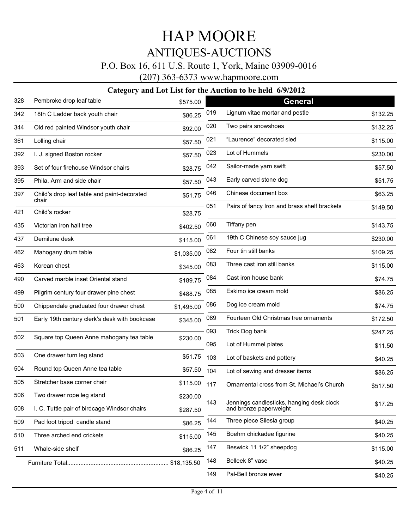### P.O. Box 16, 611 U.S. Route 1, York, Maine 03909-0016

(207) 363-6373 www.hapmoore.com

| 328 | Pembroke drop leaf table                             | \$575.00    |     | <b>General</b>                                                      |          |
|-----|------------------------------------------------------|-------------|-----|---------------------------------------------------------------------|----------|
| 342 | 18th C Ladder back youth chair                       | \$86.25     | 019 | Lignum vitae mortar and pestle                                      | \$132.25 |
| 344 | Old red painted Windsor youth chair                  | \$92.00     | 020 | Two pairs snowshoes                                                 | \$132.25 |
| 361 | Lolling chair                                        | \$57.50     | 021 | "Laurence" decorated sled                                           | \$115.00 |
| 392 | I. J. signed Boston rocker                           | \$57.50     | 023 | Lot of Hummels                                                      | \$230.00 |
| 393 | Set of four firehouse Windsor chairs                 | \$28.75     | 042 | Sailor-made yarn swift                                              | \$57.50  |
| 395 | Phila. Arm and side chair                            | \$57.50     | 043 | Early carved stone dog                                              | \$51.75  |
| 397 | Child's drop leaf table and paint-decorated<br>chair | \$51.75     | 046 | Chinese document box                                                | \$63.25  |
| 421 | Child's rocker                                       | \$28.75     | 051 | Pairs of fancy Iron and brass shelf brackets                        | \$149.50 |
| 435 | Victorian iron hall tree                             | \$402.50    | 060 | Tiffany pen                                                         | \$143.75 |
| 437 | Demilune desk                                        | \$115.00    | 061 | 19th C Chinese soy sauce jug                                        | \$230.00 |
| 462 | Mahogany drum table                                  | \$1,035.00  | 082 | Four tin still banks                                                | \$109.25 |
| 463 | Korean chest                                         | \$345.00    | 083 | Three cast iron still banks                                         | \$115.00 |
| 490 | Carved marble inset Oriental stand                   | \$189.75    | 084 | Cast iron house bank                                                | \$74.75  |
| 499 | Pilgrim century four drawer pine chest               | \$488.75    | 085 | Eskimo ice cream mold                                               | \$86.25  |
| 500 | Chippendale graduated four drawer chest              | \$1,495.00  | 086 | Dog ice cream mold                                                  | \$74.75  |
| 501 | Early 19th century clerk's desk with bookcase        | \$345.00    | 089 | Fourteen Old Christmas tree ornaments                               | \$172.50 |
| 502 | Square top Queen Anne mahogany tea table             | \$230.00    | 093 | Trick Dog bank                                                      | \$247.25 |
|     |                                                      |             | 095 | Lot of Hummel plates                                                | \$11.50  |
| 503 | One drawer turn leg stand                            | \$51.75     | 103 | Lot of baskets and pottery                                          | \$40.25  |
| 504 | Round top Queen Anne tea table                       | \$57.50     | 104 | Lot of sewing and dresser items                                     | \$86.25  |
| 505 | Stretcher base corner chair                          | \$115.00    | 117 | Ornamental cross from St. Michael's Church                          | \$517.50 |
| 506 | Two drawer rope leg stand                            | \$230.00    | 143 |                                                                     |          |
| 508 | I. C. Tuttle pair of birdcage Windsor chairs         | \$287.50    |     | Jennings candlesticks, hanging desk clock<br>and bronze paperweight | \$17.25  |
| 509 | Pad foot tripod candle stand                         | \$86.25     | 144 | Three piece Silesia group                                           | \$40.25  |
| 510 | Three arched end crickets                            | \$115.00    | 145 | Boehm chickadee figurine                                            | \$40.25  |
| 511 | Whale-side shelf                                     | \$86.25     | 147 | Beswick 11 1/2" sheepdog                                            | \$115.00 |
|     |                                                      | \$18,135.50 | 148 | Belleek 8" vase                                                     | \$40.25  |
|     |                                                      |             | 149 | Pal-Bell bronze ewer                                                | \$40.25  |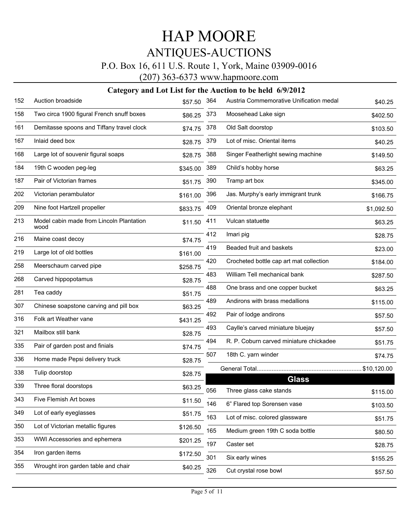### P.O. Box 16, 611 U.S. Route 1, York, Maine 03909-0016

(207) 363-6373 www.hapmoore.com

| 152 | Auction broadside                                | \$57.50  | 364 | Austria Commemorative Unification medal | \$40.25     |
|-----|--------------------------------------------------|----------|-----|-----------------------------------------|-------------|
| 158 | Two circa 1900 figural French snuff boxes        | \$86.25  | 373 | Moosehead Lake sign                     | \$402.50    |
| 161 | Demitasse spoons and Tiffany travel clock        | \$74.75  | 378 | Old Salt doorstop                       | \$103.50    |
| 167 | Inlaid deed box                                  | \$28.75  | 379 | Lot of misc. Oriental items             | \$40.25     |
| 168 | Large lot of souvenir figural soaps              | \$28.75  | 388 | Singer Featherlight sewing machine      | \$149.50    |
| 184 | 19th C wooden peg-leg                            | \$345.00 | 389 | Child's hobby horse                     | \$63.25     |
| 187 | Pair of Victorian frames                         | \$51.75  | 390 | Tramp art box                           | \$345.00    |
| 202 | Victorian perambulator                           | \$161.00 | 396 | Jas. Murphy's early immigrant trunk     | \$166.75    |
| 209 | Nine foot Hartzell propeller                     | \$833.75 | 409 | Oriental bronze elephant                | \$1,092.50  |
| 213 | Model cabin made from Lincoln Plantation<br>wood | \$11.50  | 411 | Vulcan statuette                        | \$63.25     |
| 216 | Maine coast decoy                                | \$74.75  | 412 | Imari pig                               | \$28.75     |
| 219 | Large lot of old bottles                         | \$161.00 | 419 | Beaded fruit and baskets                | \$23.00     |
| 258 | Meerschaum carved pipe                           | \$258.75 | 420 | Crocheted bottle cap art mat collection | \$184.00    |
| 268 | Carved hippopotamus                              | \$28.75  | 483 | William Tell mechanical bank            | \$287.50    |
| 281 | Tea caddy                                        | \$51.75  | 488 | One brass and one copper bucket         | \$63.25     |
| 307 | Chinese soapstone carving and pill box           | \$63.25  | 489 | Andirons with brass medallions          | \$115.00    |
| 316 | Folk art Weather vane                            | \$431.25 | 492 | Pair of lodge andirons                  | \$57.50     |
| 321 | Mailbox still bank                               | \$28.75  | 493 | Caylle's carved miniature bluejay       | \$57.50     |
| 335 | Pair of garden post and finials                  | \$74.75  | 494 | R. P. Coburn carved miniature chickadee | \$51.75     |
| 336 | Home made Pepsi delivery truck                   | \$28.75  | 507 | 18th C. yarn winder                     | \$74.75     |
| 338 | Tulip doorstop                                   | \$28.75  |     |                                         | \$10,120.00 |
| 339 | Three floral doorstops                           | \$63.25  |     | <b>Glass</b>                            |             |
| 343 | Five Flemish Art boxes                           | \$11.50  | 056 | Three glass cake stands                 | \$115.00    |
| 349 | Lot of early eyeglasses                          | \$51.75  | 146 | 6" Flared top Sorensen vase             | \$103.50    |
| 350 | Lot of Victorian metallic figures                | \$126.50 | 163 | Lot of misc. colored glassware          | \$51.75     |
| 353 | WWI Accessories and ephemera                     | \$201.25 | 165 | Medium green 19th C soda bottle         | \$80.50     |
| 354 | Iron garden items                                |          | 197 | Caster set                              | \$28.75     |
|     |                                                  | \$172.50 | 301 | Six early wines                         | \$155.25    |
| 355 | Wrought iron garden table and chair              | \$40.25  | 326 | Cut crystal rose bowl                   | \$57.50     |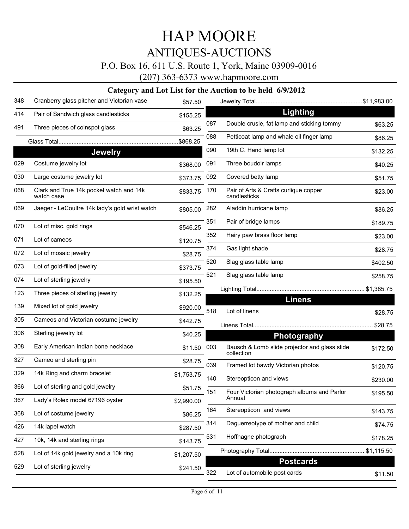### P.O. Box 16, 611 U.S. Route 1, York, Maine 03909-0016

(207) 363-6373 www.hapmoore.com

| 348 | Cranberry glass pitcher and Victorian vase            | \$57.50    |     |                                                             |          |
|-----|-------------------------------------------------------|------------|-----|-------------------------------------------------------------|----------|
| 414 | Pair of Sandwich glass candlesticks                   | \$155.25   |     | Lighting                                                    |          |
| 491 | Three pieces of coinspot glass                        | \$63.25    | 087 | Double crusie, fat lamp and sticking tommy                  | \$63.25  |
|     |                                                       | \$868.25   | 088 | Petticoat lamp and whale oil finger lamp                    | \$86.25  |
|     | <b>Jewelry</b>                                        |            | 090 | 19th C. Hand lamp lot                                       | \$132.25 |
| 029 | Costume jewelry lot                                   | \$368.00   | 091 | Three boudoir lamps                                         | \$40.25  |
| 030 | Large costume jewelry lot                             | \$373.75   | 092 | Covered betty lamp                                          | \$51.75  |
| 068 | Clark and True 14k pocket watch and 14k<br>watch case | \$833.75   | 170 | Pair of Arts & Crafts curlique copper<br>candlesticks       | \$23.00  |
| 069 | Jaeger - LeCoultre 14k lady's gold wrist watch        | \$805.00   | 282 | Aladdin hurricane lamp                                      | \$86.25  |
| 070 | Lot of misc. gold rings                               | \$546.25   | 351 | Pair of bridge lamps                                        | \$189.75 |
| 071 | Lot of cameos                                         | \$120.75   | 352 | Hairy paw brass floor lamp                                  | \$23.00  |
| 072 | Lot of mosaic jewelry                                 |            | 374 | Gas light shade                                             | \$28.75  |
| 073 | Lot of gold-filled jewelry                            | \$28.75    | 520 | Slag glass table lamp                                       | \$402.50 |
| 074 | Lot of sterling jewelry                               | \$373.75   | 521 | Slag glass table lamp                                       | \$258.75 |
|     |                                                       | \$195.50   |     |                                                             |          |
| 123 | Three pieces of sterling jewelry                      | \$132.25   |     | <b>Linens</b>                                               |          |
| 139 | Mixed lot of gold jewelry                             | \$920.00   | 518 | Lot of linens                                               | \$28.75  |
| 305 | Cameos and Victorian costume jewelry                  | \$442.75   |     |                                                             | \$28.75  |
| 306 | Sterling jewelry lot                                  | \$40.25    |     | <b>Photography</b>                                          |          |
| 308 | Early American Indian bone necklace                   | \$11.50    | 003 | Bausch & Lomb slide projector and glass slide<br>collection | \$172.50 |
| 327 | Cameo and sterling pin                                | \$28.75    | 039 | Framed lot bawdy Victorian photos                           |          |
| 329 | 14k Ring and charm bracelet                           | \$1,753.75 | 140 | Stereopticon and views                                      | \$120.75 |
| 366 | Lot of sterling and gold jewelry                      | \$51.75    |     |                                                             | \$230.00 |
| 367 | Lady's Rolex model 67196 oyster                       | \$2,990.00 | 151 | Four Victorian photograph albums and Parlor<br>Annual       | \$195.50 |
| 368 | Lot of costume jewelry                                | \$86.25    | 164 | Stereopticon and views                                      | \$143.75 |
| 426 | 14k lapel watch                                       | \$287.50   | 314 | Daguerreotype of mother and child                           | \$74.75  |
| 427 | 10k, 14k and sterling rings                           | \$143.75   | 531 | Hoffnagne photograph                                        | \$178.25 |
| 528 | Lot of 14k gold jewelry and a 10k ring                | \$1,207.50 |     |                                                             |          |
| 529 | Lot of sterling jewelry                               | \$241.50   |     | <b>Postcards</b>                                            |          |
|     |                                                       |            | 322 | Lot of automobile post cards                                | \$11.50  |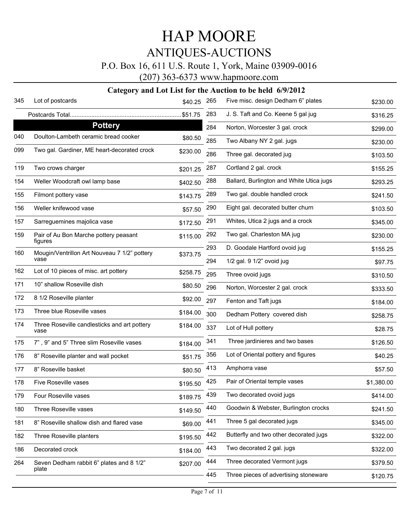### P.O. Box 16, 611 U.S. Route 1, York, Maine 03909-0016

(207) 363-6373 www.hapmoore.com

| 345 | Lot of postcards                                     | \$40.25  | 265 | Five misc. design Dedham 6" plates       | \$230.00   |
|-----|------------------------------------------------------|----------|-----|------------------------------------------|------------|
|     |                                                      |          | 283 | J. S. Taft and Co. Keene 5 gal jug       | \$316.25   |
|     | <b>Pottery</b>                                       |          | 284 | Norton, Worcester 3 gal. crock           | \$299.00   |
| 040 | Doulton-Lambeth ceramic bread cooker                 | \$80.50  | 285 | Two Albany NY 2 gal. jugs                | \$230.00   |
| 099 | Two gal. Gardiner, ME heart-decorated crock          | \$230.00 | 286 | Three gal. decorated jug                 | \$103.50   |
| 119 | Two crows charger                                    | \$201.25 | 287 | Cortland 2 gal. crock                    | \$155.25   |
| 154 | Weller Woodcraft owl lamp base                       | \$402.50 | 288 | Ballard, Burlington and White Utica jugs | \$293.25   |
| 155 | Filmont pottery vase                                 | \$143.75 | 289 | Two gal. double handled crock            | \$241.50   |
| 156 | Weller knifewood vase                                | \$57.50  | 290 | Eight gal. decorated butter churn        | \$103.50   |
| 157 | Sarreguemines majolica vase                          | \$172.50 | 291 | Whites, Utica 2 jugs and a crock         | \$345.00   |
| 159 | Pair of Au Bon Marche pottery peasant<br>figures     | \$115.00 | 292 | Two gal. Charleston MA jug               | \$230.00   |
| 160 | Mougin/Ventrillon Art Nouveau 7 1/2" pottery         | \$373.75 | 293 | D. Goodale Hartford ovoid jug            | \$155.25   |
|     | vase                                                 |          | 294 | 1/2 gal. 9 1/2" ovoid jug                | \$97.75    |
| 162 | Lot of 10 pieces of misc. art pottery                | \$258.75 | 295 | Three ovoid jugs                         | \$310.50   |
| 171 | 10" shallow Roseville dish                           | \$80.50  | 296 | Norton, Worcester 2 gal. crock           | \$333.50   |
| 172 | 8 1/2 Roseville planter                              | \$92.00  | 297 | Fenton and Taft jugs                     | \$184.00   |
| 173 | Three blue Roseville vases                           | \$184.00 | 300 | Dedham Pottery covered dish              | \$258.75   |
| 174 | Three Roseville candlesticks and art pottery<br>vase | \$184.00 | 337 | Lot of Hull pottery                      | \$28.75    |
| 175 | 7", 9" and 5" Three slim Roseville vases             | \$184.00 | 341 | Three jardinieres and two bases          | \$126.50   |
| 176 | 8" Roseville planter and wall pocket                 | \$51.75  | 356 | Lot of Oriental pottery and figures      | \$40.25    |
| 177 | 8" Roseville basket                                  | \$80.50  | 413 | Amphorra vase                            | \$57.50    |
| 178 | Five Roseville vases                                 | \$195.50 | 425 | Pair of Oriental temple vases            | \$1,380.00 |
| 179 | Four Roseville vases                                 | \$189.75 | 439 | Two decorated ovoid jugs                 | \$414.00   |
| 180 | Three Roseville vases                                | \$149.50 | 440 | Goodwin & Webster, Burlington crocks     | \$241.50   |
| 181 | 8" Roseville shallow dish and flared vase            | \$69.00  | 441 | Three 5 gal decorated jugs               | \$345.00   |
| 182 | Three Roseville planters                             | \$195.50 | 442 | Butterfly and two other decorated jugs   | \$322.00   |
| 186 | Decorated crock                                      | \$184.00 | 443 | Two decorated 2 gal. jugs                | \$322.00   |
| 264 | Seven Dedham rabbit 6" plates and 8 1/2"<br>plate    | \$207.00 | 444 | Three decorated Vermont jugs             | \$379.50   |
|     |                                                      |          | 445 | Three pieces of advertising stoneware    | \$120.75   |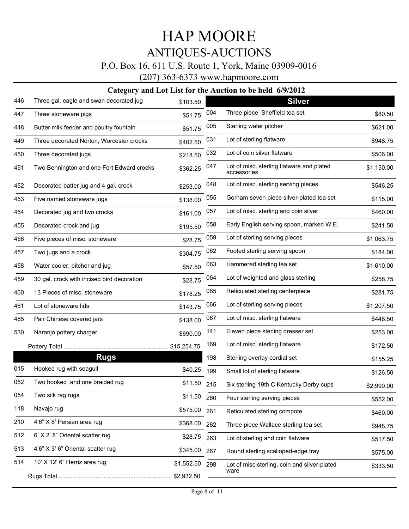### P.O. Box 16, 611 U.S. Route 1, York, Maine 03909-0016

(207) 363-6373 www.hapmoore.com

| 446 | Three gal. eagle and swan decorated jug    | \$103.50   |     | <b>Silver</b>                                            |            |
|-----|--------------------------------------------|------------|-----|----------------------------------------------------------|------------|
| 447 | Three stoneware pigs                       | \$51.75    | 004 | Three piece Sheffield tea set                            | \$80.50    |
| 448 | Butter milk feeder and poultry fountain    | \$51.75    | 005 | Sterling water pitcher                                   | \$621.00   |
| 449 | Three decorated Norton, Worcester crocks   | \$402.50   | 031 | Lot of sterling flatware                                 | \$948.75   |
| 450 | Three decorated jugs                       | \$218.50   | 032 | Lot of coin silver flatware                              | \$506.00   |
| 451 | Two Bennington and one Fort Edward crocks  | \$362.25   | 047 | Lot of misc. sterling flatware and plated<br>accessories | \$1,150.00 |
| 452 | Decorated batter jug and 4 gal. crock      | \$253.00   | 048 | Lot of misc. sterling serving pieces                     | \$546.25   |
| 453 | Five named stoneware jugs                  | \$138.00   | 055 | Gorham seven piece silver-plated tea set                 | \$115.00   |
| 454 | Decorated jug and two crocks               | \$161.00   | 057 | Lot of misc. sterling and coin silver                    | \$460.00   |
| 455 | Decorated crock and jug                    | \$195.50   | 058 | Early English serving spoon, marked W.E.                 | \$241.50   |
| 456 | Five pieces of misc. stoneware             | \$28.75    | 059 | Lot of sterling serving pieces                           | \$1,063.75 |
| 457 | Two jugs and a crock                       | \$304.75   | 062 | Footed sterling serving spoon                            | \$184.00   |
| 458 | Water cooler, pitcher and jug              | \$57.50    | 063 | Hammered sterling tea set                                | \$1,610.00 |
| 459 | 30 gal. crock with incised bird decoration | \$28.75    | 064 | Lot of weighted and glass sterling                       | \$258.75   |
| 460 | 13 Pieces of misc. stoneware               | \$178.25   | 065 | Reticulated sterling centerpiece                         | \$281.75   |
| 461 | Lot of stoneware lids                      | \$143.75   | 066 | Lot of sterling serving pieces                           | \$1,207.50 |
| 485 | Pair Chinese covered jars                  | \$138.00   | 067 | Lot of misc. sterling flatware                           | \$448.50   |
| 530 | Naranjo pottery charger                    | \$690.00   | 141 | Eleven piece sterling dresser set                        | \$253.00   |
|     |                                            |            | 169 | Lot of misc. sterling flatware                           | \$172.50   |
|     | <b>Rugs</b>                                |            | 198 | Sterling overlay cordial set                             | \$155.25   |
| 015 | Hooked rug with seagull                    | \$40.25    | 199 | Small lot of sterling flatware                           | \$126.50   |
| 052 | Two hooked and one braided rug             | \$11.50    | 215 | Six sterling 19th C Kentucky Derby cups                  | \$2,990.00 |
| 054 | Two silk rag rugs                          | \$11.50    | 260 | Four sterling serving pieces                             | \$552.00   |
| 118 | Navajo rug                                 | \$575.00   | 261 | Reticulated sterling compote                             | \$460.00   |
| 210 | 4'6" X 8' Persian area rug                 | \$368.00   | 262 | Three piece Wallace sterling tea set                     | \$948.75   |
| 512 | 6' X 2' 8" Oriental scatter rug            | \$28.75    | 263 | Lot of sterling and coin flatware                        | \$517.50   |
| 513 | 4'6" X 3' 6" Oriental scatter rug          | \$345.00   | 267 | Round sterling scalloped-edge tray                       | \$575.00   |
| 514 | 10' X 12' 6" Herriz area rug               | \$1,552.50 | 298 | Lot of misc sterling, coin and silver-plated             | \$333.50   |
|     |                                            |            |     | ware                                                     |            |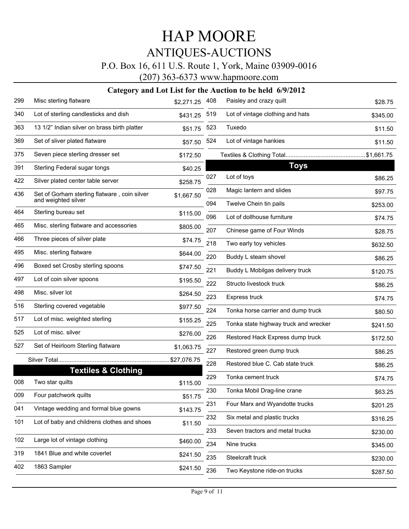### P.O. Box 16, 611 U.S. Route 1, York, Maine 03909-0016

(207) 363-6373 www.hapmoore.com

| 299 | Misc sterling flatware                                              | \$2,271.25  | 408        | Paisley and crazy quilt                            | \$28.75  |
|-----|---------------------------------------------------------------------|-------------|------------|----------------------------------------------------|----------|
| 340 | Lot of sterling candlesticks and dish                               | \$431.25    | 519        | Lot of vintage clothing and hats                   | \$345.00 |
| 363 | 13 1/2" Indian silver on brass birth platter                        | \$51.75     | 523        | Tuxedo                                             | \$11.50  |
| 369 | Set of sliver plated flatware                                       | \$57.50     | 524        | Lot of vintage hankies                             | \$11.50  |
| 375 | Seven piece sterling dresser set                                    | \$172.50    |            |                                                    |          |
| 391 | Sterling Federal sugar tongs                                        | \$40.25     |            | <b>Toys</b>                                        |          |
| 422 | Silver plated center table server                                   | \$258.75    | 027        | Lot of toys                                        | \$86.25  |
| 436 | Set of Gorham sterling flatware, coin silver<br>and weighted silver | \$1,667.50  | 028<br>094 | Magic lantern and slides<br>Twelve Chein tin pails | \$97.75  |
| 464 | Sterling bureau set                                                 | \$115.00    | 096        |                                                    | \$253.00 |
| 465 | Misc. sterling flatware and accessories                             | \$805.00    |            | Lot of dollhouse furniture                         | \$74.75  |
| 466 | Three pieces of silver plate                                        | \$74.75     | 207        | Chinese game of Four Winds                         | \$28.75  |
| 495 | Misc. sterling flatware                                             | \$644.00    | 218        | Two early toy vehicles                             | \$632.50 |
| 496 | Boxed set Crosby sterling spoons                                    |             | 220        | Buddy L steam shovel                               | \$86.25  |
|     |                                                                     | \$747.50    | 221        | Buddy L Mobilgas delivery truck                    | \$120.75 |
| 497 | Lot of coin silver spoons                                           | \$195.50    | 222        | Structo livestock truck                            | \$86.25  |
| 498 | Misc. silver lot                                                    | \$264.50    | 223        | Express truck                                      | \$74.75  |
| 516 | Sterling covered vegetable                                          | \$977.50    | 224        | Tonka horse carrier and dump truck                 | \$80.50  |
| 517 | Lot of misc. weighted sterling                                      | \$155.25    | 225        | Tonka state highway truck and wrecker              | \$241.50 |
| 525 | Lot of misc. silver                                                 | \$276.00    | 226        | Restored Hack Express dump truck                   | \$172.50 |
| 527 | Set of Heirloom Sterling flatware                                   | \$1,063.75  | 227        | Restored green dump truck                          | \$86.25  |
|     |                                                                     | \$27,076.75 | 228        | Restored blue C. Cab state truck                   | \$86.25  |
|     | <b>Textiles &amp; Clothing</b>                                      |             | 229        | Tonka cement truck                                 |          |
| 008 | Two star quilts                                                     | \$115.00    |            |                                                    | \$74.75  |
| 009 | Four patchwork quilts                                               | \$51.75     | 230        | Tonka Mobil Drag-line crane                        | \$63.25  |
| 041 | Vintage wedding and formal blue gowns                               | \$143.75    | 231        | Four Marx and Wyandotte trucks                     | \$201.25 |
| 101 | Lot of baby and childrens clothes and shoes                         | \$11.50     | 232        | Six metal and plastic trucks                       | \$316.25 |
|     |                                                                     |             | 233        | Seven tractors and metal trucks                    | \$230.00 |
| 102 | Large lot of vintage clothing                                       | \$460.00    | 234        | Nine trucks                                        | \$345.00 |
| 319 | 1841 Blue and white coverlet                                        | \$241.50    | 235        | Steelcraft truck                                   | \$230.00 |
| 402 | 1863 Sampler                                                        | \$241.50    | 236        | Two Keystone ride-on trucks                        | \$287.50 |
|     |                                                                     |             |            |                                                    |          |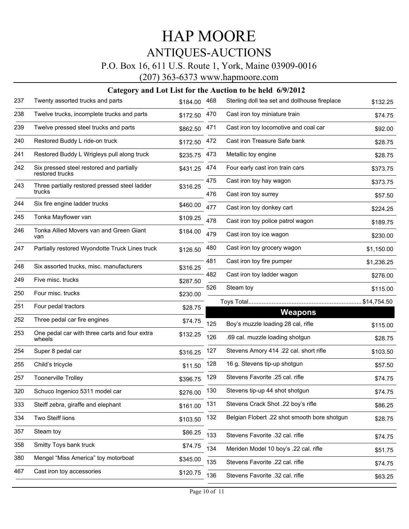### P.O. Box 16, 611 U.S. Route 1, York, Maine 03909-0016

(207) 363-6373 www.hapmoore.com

| 237 | Twenty assorted trucks and parts                            | \$184.00 | 468 | Sterling doll tea set and dollhouse fireplace | \$132.25   |
|-----|-------------------------------------------------------------|----------|-----|-----------------------------------------------|------------|
| 238 | Twelve trucks, incomplete trucks and parts                  | \$172.50 | 470 | Cast iron toy miniature train                 | \$74.75    |
| 239 | Twelve pressed steel trucks and parts                       | \$862.50 | 471 | Cast iron toy locomotive and coal car         | \$92.00    |
| 240 | Restored Buddy L ride-on truck                              | \$172.50 | 472 | Cast iron Treasure Safe bank                  | \$28.75    |
| 241 | Restored Buddy L Wrigleys pull along truck                  | \$235.75 | 473 | Metallic toy engine                           | \$28.75    |
| 242 | Six pressed steel restored and partially<br>restored trucks | \$431.25 | 474 | Four early cast iron train cars               | \$373.75   |
| 243 | Three partially restored pressed steel ladder               | \$316.25 | 475 | Cast iron toy hay wagon                       | \$373.75   |
|     | trucks                                                      |          | 476 | Cast iron toy surrey                          | \$57.50    |
| 244 | Six fire engine ladder trucks                               | \$460.00 | 477 | Cast iron toy donkey cart                     | \$224.25   |
| 245 | Tonka Mayflower van                                         | \$109.25 | 478 | Cast iron toy police patrol wagon             | \$189.75   |
| 246 | Tonka Allied Movers van and Green Giant<br>van              | \$184.00 | 479 | Cast iron toy ice wagon                       | \$230.00   |
| 247 | Partially restored Wyondotte Truck Lines truck              | \$126.50 | 480 | Cast iron toy grocery wagon                   | \$1,150.00 |
| 248 | Six assorted trucks, misc. manufacturers                    | \$316.25 | 481 | Cast iron toy fire pumper                     | \$1,236.25 |
| 249 | Five misc. trucks                                           |          | 482 | Cast iron toy ladder wagon                    | \$276.00   |
| 250 | Four misc. trucks                                           | \$287.50 | 526 | Steam toy                                     | \$115.00   |
|     |                                                             | \$230.00 |     |                                               |            |
| 251 | Four pedal tractors                                         | \$28.75  |     | <b>Weapons</b>                                |            |
| 252 | Three pedal car fire engines                                | \$74.75  | 125 | Boy's muzzle loading 28 cal, rifle            | \$115.00   |
| 253 | One pedal car with three carts and four extra<br>wheels     | \$132.25 | 126 | .69 cal. muzzle loading shotgun               | \$28.75    |
| 254 | Super 8 pedal car                                           | \$316.25 | 127 | Stevens Amory 414 .22 cal. short rifle        | \$103.50   |
| 255 | Child's tricycle                                            | \$11.50  | 128 | 16 g. Stevens tip-up shotgun                  | \$57.50    |
| 257 | Toonerville Trolley                                         | \$396.75 | 129 | Stevens Favorite .25 cal. rifle               | \$74.75    |
| 320 | Schuco Ingenico 5311 model car                              | \$276.00 | 130 | Stevens tip-up 44 shot shotgun                | \$74.75    |
| 333 | Steiff zebra, giraffe and elephant                          | \$161.00 | 131 | Stevens Crack Shot .22 boy's rifle            | \$86.25    |
| 334 | Two Steiff lions                                            | \$103.50 | 132 | Belgian Flobert .22 shot smooth bore shotgun  | \$28.75    |
| 357 | Steam toy                                                   | \$86.25  | 133 | Stevens Favorite .32 cal. rifle               | \$74.75    |
| 358 | Smitty Toys bank truck                                      | \$74.75  | 134 | Meriden Model 10 boy's .22 cal. rifle         | \$51.75    |
| 380 | Mengel "Miss America" toy motorboat                         | \$345.00 | 135 | Stevens Favorite .22 cal. rifle               | \$74.75    |
| 467 | Cast iron toy accessories                                   | \$120.75 | 136 | Stevens Favorite .32 cal. rifle               | \$63.25    |
|     |                                                             |          |     |                                               |            |